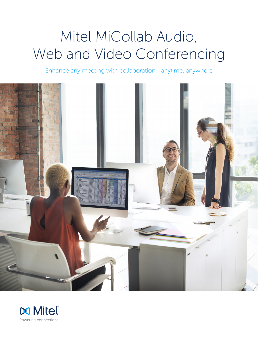# Mitel MiCollab Audio, Web and Video Conferencing

Enhance any meeting with collaboration - anytime, anywhere



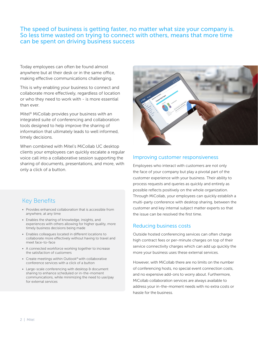# The speed of business is getting faster, no matter what size your company is. So less time wasted on trying to connect with others, means that more time can be spent on driving business success

Today employees can often be found almost anywhere but at their desk or in the same office, making effective communications challenging.

This is why enabling your business to connect and collaborate more effectively, regardless of location or who they need to work with - is more essential than ever.

Mitel® MiCollab provides your business with an integrated suite of conferencing and collaboration tools designed to help improve the sharing of information that ultimately leads to well informed, timely decisions.

When combined with Mitel's MiCollab UC desktop clients your employees can quickly escalate a regular voice call into a collaborative session supporting the sharing of documents, presentations, and more, with only a click of a button.

# Key Benefits

- Provides enhanced collaboration that is accessible from anywhere, at any time
- Enables the sharing of knowledge, insights, and experiences with others allowing for higher quality, more timely business decisions being made
- Enables colleagues located in different locations to collaborate more effectively without having to travel and meet face-to-face
- A connected workforce working together to increase the satisfaction of customers
- Create meetings within Outlook® with collaborative conference services with a click of a button
- Large-scale conferencing with desktop & document sharing to enhance scheduled or in-the-moment communications, while minimizing the need to use/pay for external services



#### Improving customer responsiveness

Employees who interact with customers are not only the face of your company but play a pivotal part of the customer experience with your business. Their ability to process requests and queries as quickly and entirely as possible reflects positively on the whole organization. Through MiCollab, your employees can quickly establish a multi-party conference with desktop sharing, between the customer and key internal subject matter experts so that the issue can be resolved the first time.

#### Reducing business costs

Outside hosted conferencing services can often charge high contract fees or per-minute charges on top of their service connectivity charges which can add up quickly the more your business uses these external services.

However, with MiCollab there are no limits on the number of conferencing hosts, no special event connection costs, and no expensive add-ons to worry about. Furthermore, MiCollab collaboration services are always available to address your in-the-moment needs with no extra costs or hassle for the business.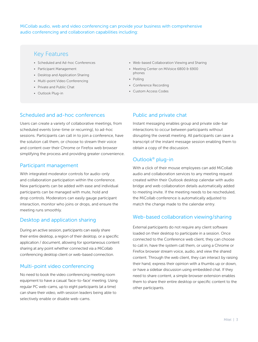MiCollab audio, web and video conferencing can provide your business with comprehensive audio conferencing and collaboration capabilities including:

# Key Features

- Scheduled and Ad-hoc Conferences
- Participant Management
- Desktop and Application Sharing
- Multi-point Video Conferencing
- Private and Public Chat
- Outlook Plug-in
- Web-based Collaboration Viewing and Sharing
- Meeting Center on MiVoice 6800 & 6900 phones
- Polling
- Conference Recording
- Custom Access Codes

## Scheduled and ad-hoc conferences

Users can create a variety of collaborative meetings, from scheduled events (one-time or recurring), to ad-hoc sessions. Participants can call in to join a conference, have the solution call them, or choose to stream their voice and content over their Chrome or Firefox web browser simplifying the process and providing greater convenience.

#### Participant management

With integrated moderator controls for audio-only and collaboration participation within the conference. New participants can be added with ease and individual participants can be managed with mute, hold and drop controls. Moderators can easily gauge participant interaction, monitor who joins or drops, and ensure the meeting runs smoothly.

## Desktop and application sharing

During an active session, participants can easily share their entire desktop, a region of their desktop, or a specific application / document, allowing for spontaneous content sharing at any point whether connected via a MiCollab conferencing desktop client or web-based connection.

#### Multi-point video conferencing

No need to book the video conferencing meeting room equipment to have a casual 'face-to-face' meeting. Using regular PC web-cams, up to eight participants (at a time) can share their video, with session leaders being able to selectively enable or disable web-cams.

## Public and private chat

Instant messaging enables group and private side-bar interactions to occur between participants without disrupting the overall meeting. All participants can save a transcript of the instant message session enabling them to obtain a copy of the discussion.

# Outlook® plug-in

With a click of their mouse employees can add MiCollab audio and collaboration services to any meeting request created within their Outlook desktop calendar with audio bridge and web collaboration details automatically added to meeting invite. If the meeting needs to be rescheduled, the MiCollab conference is automatically adjusted to match the change made to the calendar entry.

## Web-based collaboration viewing/sharing

External participants do not require any client software loaded on their desktop to participate in a session. Once connected to the Conference web client, they can choose to call in, have the system call them, or using a Chrome or Firefox browser stream voice, audio, and view the shared content. Through the web client, they can interact by raising their hand, express their opinion with a thumbs up or down, or have a sidebar discussion using embedded chat. If they need to share content, a simple browser extension enables them to share their entire desktop or specific content to the other participants.